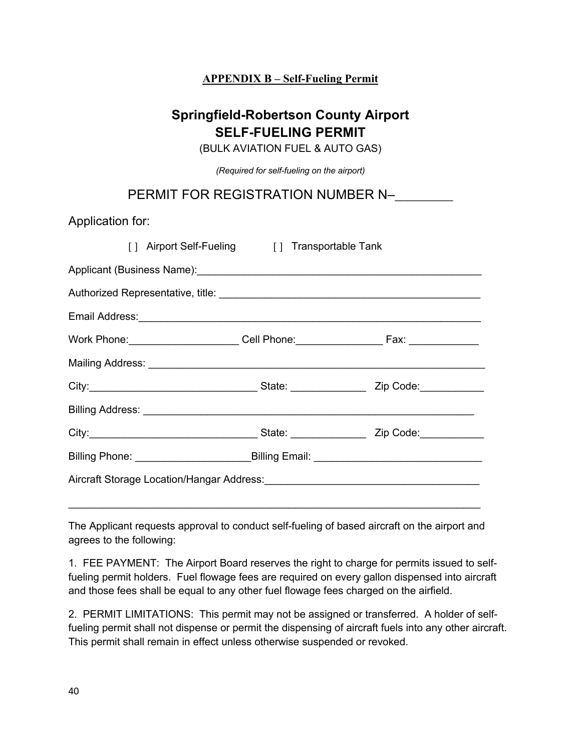## **APPENDIX B – Self-Fueling Permit**

## **Springfield-Robertson County Airport SELF-FUELING PERMIT**

(BULK AVIATION FUEL & AUTO GAS)

*(Required for self-fueling on the airport)*

## PERMIT FOR REGISTRATION NUMBER N-

Application for:

|  |  | [] Airport Self-Fueling [] Transportable Tank                                                                                                                                                                                 |  |  |
|--|--|-------------------------------------------------------------------------------------------------------------------------------------------------------------------------------------------------------------------------------|--|--|
|  |  |                                                                                                                                                                                                                               |  |  |
|  |  |                                                                                                                                                                                                                               |  |  |
|  |  |                                                                                                                                                                                                                               |  |  |
|  |  | Work Phone: ______________________Cell Phone: __________________________________                                                                                                                                              |  |  |
|  |  |                                                                                                                                                                                                                               |  |  |
|  |  | City: City: City: City: City: City: City: City: City: Code: City: Code: City: Code: City: Code: City: Code: City: City: City: City: City: City: City: City: City: City: City: City: City: City: City: City: City: City: City: |  |  |
|  |  |                                                                                                                                                                                                                               |  |  |
|  |  | City: City: City: City: City: City: City: City: City: Code: City: Code: City: Code: City: Code: City: Code: City: City: City: City: City: City: City: City: City: City: City: City: City: City: City: City: City: City: City: |  |  |
|  |  |                                                                                                                                                                                                                               |  |  |
|  |  |                                                                                                                                                                                                                               |  |  |

The Applicant requests approval to conduct self-fueling of based aircraft on the airport and agrees to the following:

1. FEE PAYMENT: The Airport Board reserves the right to charge for permits issued to selffueling permit holders. Fuel flowage fees are required on every gallon dispensed into aircraft and those fees shall be equal to any other fuel flowage fees charged on the airfield.

2. PERMIT LIMITATIONS: This permit may not be assigned or transferred. A holder of selffueling permit shall not dispense or permit the dispensing of aircraft fuels into any other aircraft. This permit shall remain in effect unless otherwise suspended or revoked.